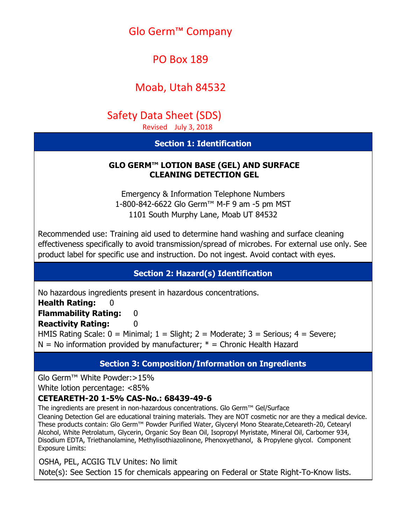# Glo Germ™ Company

# PO Box 189

# Moab, Utah 84532

# Safety Data Sheet (SDS)

Revised July 3, 2018

# **Section 1: Identification**

### **GLO GERM™ LOTION BASE (GEL) AND SURFACE CLEANING DETECTION GEL**

Emergency & Information Telephone Numbers 1-800-842-6622 Glo Germ™ M-F 9 am -5 pm MST 1101 South Murphy Lane, Moab UT 84532

Recommended use: Training aid used to determine hand washing and surface cleaning effectiveness specifically to avoid transmission/spread of microbes. For external use only. See product label for specific use and instruction. Do not ingest. Avoid contact with eyes.

# **Section 2: Hazard(s) Identification**

No hazardous ingredients present in hazardous concentrations.

**Health Rating:** 

# **Flammability Rating: 0**

**Reactivity Rating:** 0

HMIS Rating Scale:  $0 =$  Minimal;  $1 =$  Slight;  $2 =$  Moderate;  $3 =$  Serious;  $4 =$  Severe;  $N = No$  information provided by manufacturer;  $* =$  Chronic Health Hazard

# **Section 3: Composition/Information on Ingredients**

Glo Germ™ White Powder:>15%

White lotion percentage: <85%

# **CETEARETH-20 1-5% CAS-No.: 68439-49-6**

The ingredients are present in non-hazardous concentrations. Glo Germ™ Gel/Surface

Cleaning Detection Gel are educational training materials. They are NOT cosmetic nor are they a medical device. These products contain: Glo Germ™ Powder Purified Water, Glyceryl Mono Stearate,Ceteareth-20, Cetearyl Alcohol, White Petrolatum, Glycerin, Organic Soy Bean Oil, Isopropyl Myristate, Mineral Oil, Carbomer 934, Disodium EDTA, Triethanolamine, Methylisothiazolinone, Phenoxyethanol, & Propylene glycol. Component Exposure Limits:

OSHA, PEL, ACGIG TLV Unites: No limit

Note(s): See Section 15 for chemicals appearing on Federal or State Right-To-Know lists.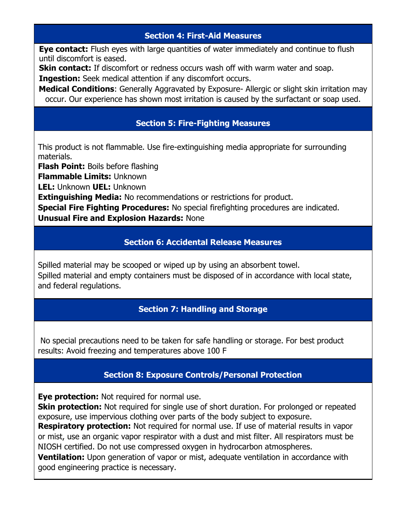## **Section 4: First-Aid Measures**

**Eye contact:** Flush eyes with large quantities of water immediately and continue to flush until discomfort is eased.

**Skin contact:** If discomfort or redness occurs wash off with warm water and soap.

**Ingestion:** Seek medical attention if any discomfort occurs.

**Medical Conditions**: Generally Aggravated by Exposure- Allergic or slight skin irritation may occur. Our experience has shown most irritation is caused by the surfactant or soap used.

# **Section 5: Fire-Fighting Measures**

This product is not flammable. Use fire-extinguishing media appropriate for surrounding materials.

**Flash Point:** Boils before flashing

**Flammable Limits:** Unknown

**LEL:** Unknown **UEL:** Unknown

**Extinguishing Media:** No recommendations or restrictions for product.

**Special Fire Fighting Procedures:** No special firefighting procedures are indicated. **Unusual Fire and Explosion Hazards:** None

# **Section 6: Accidental Release Measures**

Spilled material may be scooped or wiped up by using an absorbent towel. Spilled material and empty containers must be disposed of in accordance with local state, and federal regulations.

# **Section 7: Handling and Storage**

No special precautions need to be taken for safe handling or storage. For best product results: Avoid freezing and temperatures above 100 F

# **Section 8: Exposure Controls/Personal Protection**

**Eye protection:** Not required for normal use.

**Skin protection:** Not required for single use of short duration. For prolonged or repeated exposure, use impervious clothing over parts of the body subject to exposure.

**Respiratory protection:** Not required for normal use. If use of material results in vapor or mist, use an organic vapor respirator with a dust and mist filter. All respirators must be NIOSH certified. Do not use compressed oxygen in hydrocarbon atmospheres.

**Ventilation:** Upon generation of vapor or mist, adequate ventilation in accordance with good engineering practice is necessary.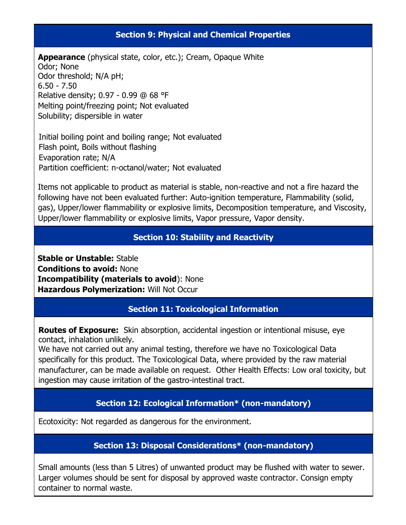#### **Section 9: Physical and Chemical Properties**

**Appearance** (physical state, color, etc.); Cream, Opaque White Odor; None Odor threshold; N/A pH;  $6.50 - 7.50$ Relative density; 0.97 - 0.99 @ 68 °F Melting point/freezing point; Not evaluated Solubility; dispersible in water

Initial boiling point and boiling range; Not evaluated Flash point, Boils without flashing Evaporation rate; N/A Partition coefficient: n-octanol/water; Not evaluated

Items not applicable to product as material is stable, non-reactive and not a fire hazard the following have not been evaluated further: Auto-ignition temperature, Flammability (solid, gas), Upper/lower flammability or explosive limits, Decomposition temperature, and Viscosity, Upper/lower flammability or explosive limits, Vapor pressure, Vapor density.

### **Section 10: Stability and Reactivity**

**Stable or Unstable:** Stable **Conditions to avoid:** None **Incompatibility (materials to avoid**): None **Hazardous Polymerization:** Will Not Occur

#### **Section 11: Toxicological Information**

**Routes of Exposure:** Skin absorption, accidental ingestion or intentional misuse, eye contact, inhalation unlikely.

We have not carried out any animal testing, therefore we have no Toxicological Data specifically for this product. The Toxicological Data, where provided by the raw material manufacturer, can be made available on request. Other Health Effects: Low oral toxicity, but ingestion may cause irritation of the gastro-intestinal tract.

### **Section 12: Ecological Information\* (non-mandatory)**

Ecotoxicity: Not regarded as dangerous for the environment.

#### **Section 13: Disposal Considerations\* (non-mandatory)**

Small amounts (less than 5 Litres) of unwanted product may be flushed with water to sewer. Larger volumes should be sent for disposal by approved waste contractor. Consign empty container to normal waste.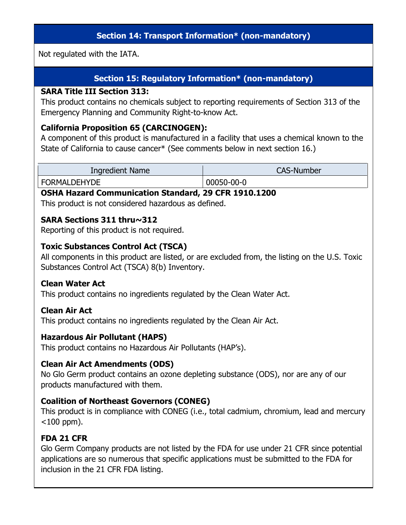## **Section 14: Transport Information\* (non-mandatory)**

Not regulated with the IATA.

# **Section 15: Regulatory Information\* (non-mandatory)**

#### **SARA Title III Section 313:**

This product contains no chemicals subject to reporting requirements of Section 313 of the Emergency Planning and Community Right-to-know Act.

#### **California Proposition 65 (CARCINOGEN):**

A component of this product is manufactured in a facility that uses a chemical known to the State of California to cause cancer\* (See comments below in next section 16.)

| <b>Ingredient Name</b> | <b>CAS-Number</b> |
|------------------------|-------------------|
| <b>FORMALDEHYDE</b>    | 00050-00-0        |

#### **OSHA Hazard Communication Standard, 29 CFR 1910.1200**

This product is not considered hazardous as defined.

#### **SARA Sections 311 thru~312**

Reporting of this product is not required.

#### **Toxic Substances Control Act (TSCA)**

All components in this product are listed, or are excluded from, the listing on the U.S. Toxic Substances Control Act (TSCA) 8(b) Inventory.

#### **Clean Water Act**

This product contains no ingredients regulated by the Clean Water Act.

#### **Clean Air Act**

This product contains no ingredients regulated by the Clean Air Act.

#### **Hazardous Air Pollutant (HAPS)**

This product contains no Hazardous Air Pollutants (HAP's).

### **Clean Air Act Amendments (ODS)**

No Glo Germ product contains an ozone depleting substance (ODS), nor are any of our products manufactured with them.

#### **Coalition of Northeast Governors (CONEG)**

This product is in compliance with CONEG (i.e., total cadmium, chromium, lead and mercury  $<$ 100 ppm).

### **FDA 21 CFR**

Glo Germ Company products are not listed by the FDA for use under 21 CFR since potential applications are so numerous that specific applications must be submitted to the FDA for inclusion in the 21 CFR FDA listing.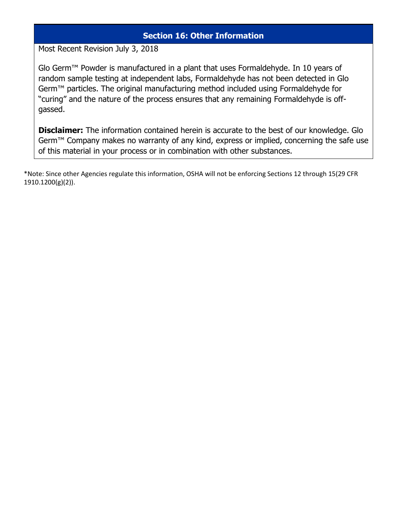#### **Section 16: Other Information**

Most Recent Revision July 3, 2018

Glo Germ™ Powder is manufactured in a plant that uses Formaldehyde. In 10 years of random sample testing at independent labs, Formaldehyde has not been detected in Glo Germ™ particles. The original manufacturing method included using Formaldehyde for "curing" and the nature of the process ensures that any remaining Formaldehyde is offgassed.

**Disclaimer:** The information contained herein is accurate to the best of our knowledge. Glo Germ<sup>™</sup> Company makes no warranty of any kind, express or implied, concerning the safe use of this material in your process or in combination with other substances.

\*Note: Since other Agencies regulate this information, OSHA will not be enforcing Sections 12 through 15(29 CFR 1910.1200(g)(2)).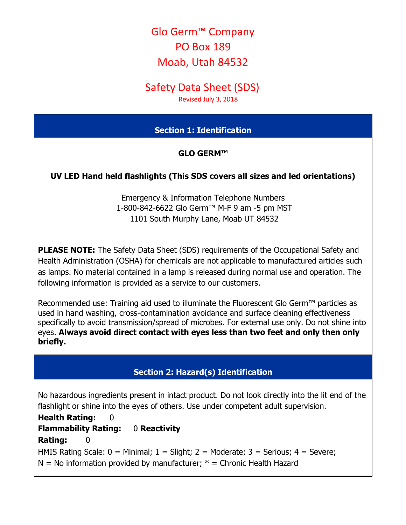# Glo Germ™ Company PO Box 189 Moab, Utah 84532

# Safety Data Sheet (SDS)

Revised July 3, 2018

## **Section 1: Identification**

### **GLO GERM™**

## **UV LED Hand held flashlights (This SDS covers all sizes and led orientations)**

Emergency & Information Telephone Numbers 1-800-842-6622 Glo Germ™ M-F 9 am -5 pm MST 1101 South Murphy Lane, Moab UT 84532

**PLEASE NOTE:** The Safety Data Sheet (SDS) requirements of the Occupational Safety and Health Administration (OSHA) for chemicals are not applicable to manufactured articles such as lamps. No material contained in a lamp is released during normal use and operation. The following information is provided as a service to our customers.

Recommended use: Training aid used to illuminate the Fluorescent Glo Germ™ particles as used in hand washing, cross-contamination avoidance and surface cleaning effectiveness specifically to avoid transmission/spread of microbes. For external use only. Do not shine into eyes. **Always avoid direct contact with eyes less than two feet and only then only briefly.**

### **Section 2: Hazard(s) Identification**

No hazardous ingredients present in intact product. Do not look directly into the lit end of the flashlight or shine into the eyes of others. Use under competent adult supervision.

**Health Rating: 0 Flammability Rating:** 0 **Reactivity Rating:** 0 HMIS Rating Scale:  $0 =$  Minimal;  $1 =$  Slight;  $2 =$  Moderate;  $3 =$  Serious;  $4 =$  Severe;  $N = No$  information provided by manufacturer;  $* =$  Chronic Health Hazard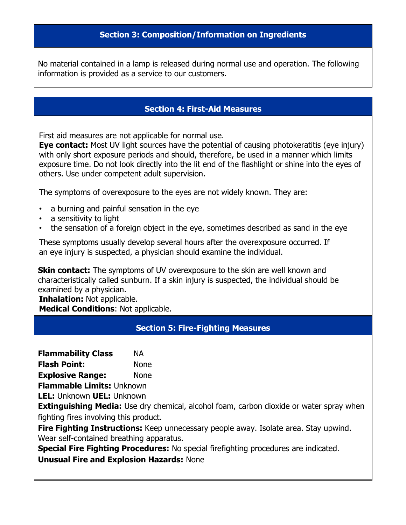#### **Section 3: Composition/Information on Ingredients**

No material contained in a lamp is released during normal use and operation. The following information is provided as a service to our customers.

#### **Section 4: First-Aid Measures**

First aid measures are not applicable for normal use.

**Eye contact:** Most UV light sources have the potential of causing photokeratitis (eye injury) with only short exposure periods and should, therefore, be used in a manner which limits exposure time. Do not look directly into the lit end of the flashlight or shine into the eyes of others. Use under competent adult supervision.

The symptoms of overexposure to the eyes are not widely known. They are:

- a burning and painful sensation in the eye
- a sensitivity to light
- the sensation of a foreign object in the eye, sometimes described as sand in the eye

These symptoms usually develop several hours after the overexposure occurred. If an eye injury is suspected, a physician should examine the individual.

**Skin contact:** The symptoms of UV overexposure to the skin are well known and characteristically called sunburn. If a skin injury is suspected, the individual should be examined by a physician.

**Inhalation:** Not applicable. **Medical Conditions**: Not applicable.

#### **Section 5: Fire-Fighting Measures**

**Flammability Class** NA

**Flash Point:** None

**Explosive Range:** None

**Flammable Limits:** Unknown

**LEL:** Unknown **UEL:** Unknown

**Extinguishing Media:** Use dry chemical, alcohol foam, carbon dioxide or water spray when fighting fires involving this product.

Fire Fighting Instructions: Keep unnecessary people away. Isolate area. Stay upwind. Wear self-contained breathing apparatus.

**Special Fire Fighting Procedures:** No special firefighting procedures are indicated. **Unusual Fire and Explosion Hazards:** None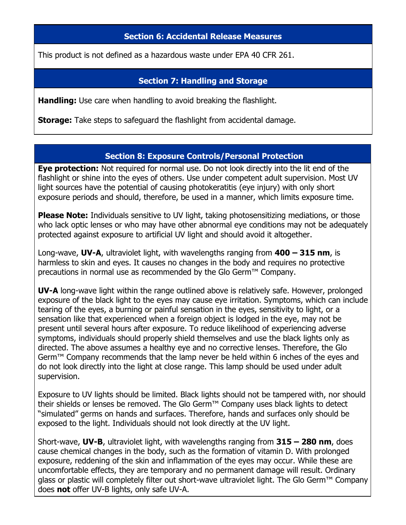#### **Section 6: Accidental Release Measures**

This product is not defined as a hazardous waste under EPA 40 CFR 261.

#### **Section 7: Handling and Storage**

**Handling:** Use care when handling to avoid breaking the flashlight.

**Storage:** Take steps to safeguard the flashlight from accidental damage.

#### **Section 8: Exposure Controls/Personal Protection**

**Eye protection:** Not required for normal use. Do not look directly into the lit end of the flashlight or shine into the eyes of others. Use under competent adult supervision. Most UV light sources have the potential of causing photokeratitis (eye injury) with only short exposure periods and should, therefore, be used in a manner, which limits exposure time.

**Please Note:** Individuals sensitive to UV light, taking photosensitizing mediations, or those who lack optic lenses or who may have other abnormal eye conditions may not be adequately protected against exposure to artificial UV light and should avoid it altogether.

Long-wave, **UV-A**, ultraviolet light, with wavelengths ranging from **400 – 315 nm**, is harmless to skin and eyes. It causes no changes in the body and requires no protective precautions in normal use as recommended by the Glo Germ™ Company.

**UV-A** long-wave light within the range outlined above is relatively safe. However, prolonged exposure of the black light to the eyes may cause eye irritation. Symptoms, which can include tearing of the eyes, a burning or painful sensation in the eyes, sensitivity to light, or a sensation like that experienced when a foreign object is lodged in the eye, may not be present until several hours after exposure. To reduce likelihood of experiencing adverse symptoms, individuals should properly shield themselves and use the black lights only as directed. The above assumes a healthy eye and no corrective lenses. Therefore, the Glo Germ<sup>™</sup> Company recommends that the lamp never be held within 6 inches of the eyes and do not look directly into the light at close range. This lamp should be used under adult supervision.

Exposure to UV lights should be limited. Black lights should not be tampered with, nor should their shields or lenses be removed. The Glo Germ™ Company uses black lights to detect "simulated" germs on hands and surfaces. Therefore, hands and surfaces only should be exposed to the light. Individuals should not look directly at the UV light.

Short-wave, **UV-B**, ultraviolet light, with wavelengths ranging from **315 – 280 nm**, does cause chemical changes in the body, such as the formation of vitamin D. With prolonged exposure, reddening of the skin and inflammation of the eyes may occur. While these are uncomfortable effects, they are temporary and no permanent damage will result. Ordinary glass or plastic will completely filter out short-wave ultraviolet light. The Glo Germ™ Company does **not** offer UV-B lights, only safe UV-A.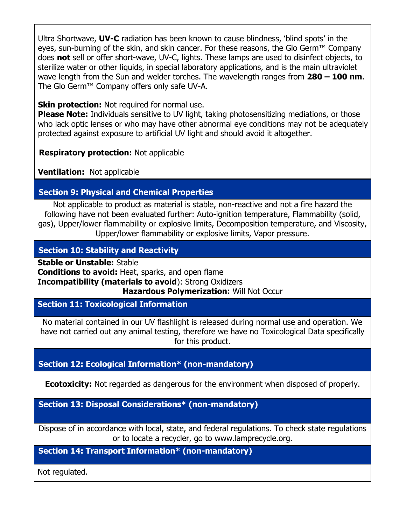Ultra Shortwave, **UV-C** radiation has been known to cause blindness, ʻblind spots' in the eyes, sun-burning of the skin, and skin cancer. For these reasons, the Glo Germ™ Company does **not** sell or offer short-wave, UV-C, lights. These lamps are used to disinfect objects, to sterilize water or other liquids, in special laboratory applications, and is the main ultraviolet wave length from the Sun and welder torches. The wavelength ranges from **280 – 100 nm**. The Glo Germ™ Company offers only safe UV-A.

**Skin protection:** Not required for normal use.

**Please Note:** Individuals sensitive to UV light, taking photosensitizing mediations, or those who lack optic lenses or who may have other abnormal eye conditions may not be adequately protected against exposure to artificial UV light and should avoid it altogether.

**Respiratory protection:** Not applicable

**Ventilation:** Not applicable

# **Section 9: Physical and Chemical Properties**

Not applicable to product as material is stable, non-reactive and not a fire hazard the following have not been evaluated further: Auto-ignition temperature, Flammability (solid, gas), Upper/lower flammability or explosive limits, Decomposition temperature, and Viscosity, Upper/lower flammability or explosive limits, Vapor pressure.

# **Section 10: Stability and Reactivity**

**Stable or Unstable:** Stable **Conditions to avoid:** Heat, sparks, and open flame **Incompatibility (materials to avoid**): Strong Oxidizers **Hazardous Polymerization:** Will Not Occur

**Section 11: Toxicological Information**

No material contained in our UV flashlight is released during normal use and operation. We have not carried out any animal testing, therefore we have no Toxicological Data specifically for this product.

# **Section 12: Ecological Information\* (non-mandatory)**

**Ecotoxicity:** Not regarded as dangerous for the environment when disposed of properly.

**Section 13: Disposal Considerations\* (non-mandatory)** 

Dispose of in accordance with local, state, and federal regulations. To check state regulations or to locate a recycler, go to [www.lamprecycle.org.](http://www.lamprecycle.org/)

**Section 14: Transport Information\* (non-mandatory)** 

Not regulated.